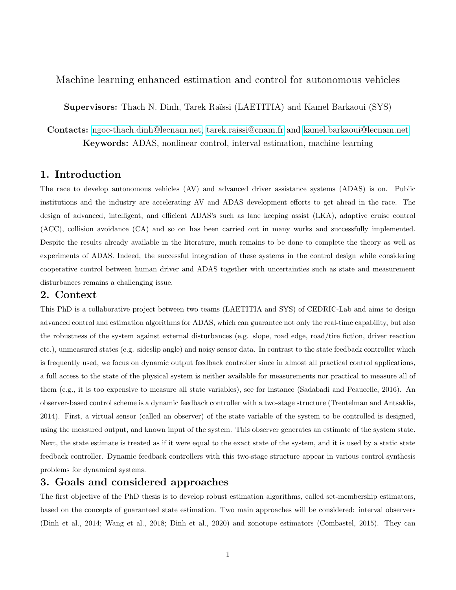Machine learning enhanced estimation and control for autonomous vehicles

Supervisors: Thach N. Dinh, Tarek Raïssi (LAETITIA) and Kamel Barkaoui (SYS)

Contacts: [ngoc-thach.dinh@lecnam.net,](mailto:ngoc-thach.dinh@lecnam.net) [tarek.raissi@cnam.fr](mailto:tarek.raissi@cnam.fr) and [kamel.barkaoui@lecnam.net](mailto:kamel.barkaoui@lecnam.net) Keywords: ADAS, nonlinear control, interval estimation, machine learning

# 1. Introduction

The race to develop autonomous vehicles (AV) and advanced driver assistance systems (ADAS) is on. Public institutions and the industry are accelerating AV and ADAS development efforts to get ahead in the race. The design of advanced, intelligent, and efficient ADAS's such as lane keeping assist (LKA), adaptive cruise control (ACC), collision avoidance (CA) and so on has been carried out in many works and successfully implemented. Despite the results already available in the literature, much remains to be done to complete the theory as well as experiments of ADAS. Indeed, the successful integration of these systems in the control design while considering cooperative control between human driver and ADAS together with uncertainties such as state and measurement disturbances remains a challenging issue.

## 2. Context

This PhD is a collaborative project between two teams (LAETITIA and SYS) of CEDRIC-Lab and aims to design advanced control and estimation algorithms for ADAS, which can guarantee not only the real-time capability, but also the robustness of the system against external disturbances (e.g. slope, road edge, road/tire fiction, driver reaction etc.), unmeasured states (e.g. sideslip angle) and noisy sensor data. In contrast to the state feedback controller which is frequently used, we focus on dynamic output feedback controller since in almost all practical control applications, a full access to the state of the physical system is neither available for measurements nor practical to measure all of them (e.g., it is too expensive to measure all state variables), see for instance (Sadabadi and Peaucelle, 2016). An observer-based control scheme is a dynamic feedback controller with a two-stage structure (Trentelman and Antsaklis, 2014). First, a virtual sensor (called an observer) of the state variable of the system to be controlled is designed, using the measured output, and known input of the system. This observer generates an estimate of the system state. Next, the state estimate is treated as if it were equal to the exact state of the system, and it is used by a static state feedback controller. Dynamic feedback controllers with this two-stage structure appear in various control synthesis problems for dynamical systems.

## 3. Goals and considered approaches

The first objective of the PhD thesis is to develop robust estimation algorithms, called set-membership estimators, based on the concepts of guaranteed state estimation. Two main approaches will be considered: interval observers (Dinh et al., 2014; Wang et al., 2018; Dinh et al., 2020) and zonotope estimators (Combastel, 2015). They can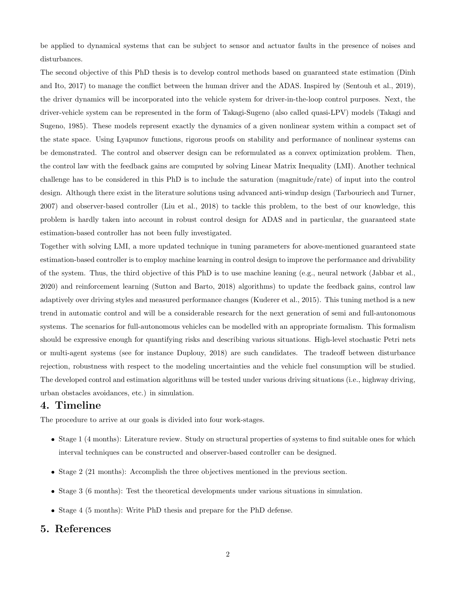be applied to dynamical systems that can be subject to sensor and actuator faults in the presence of noises and disturbances.

The second objective of this PhD thesis is to develop control methods based on guaranteed state estimation (Dinh and Ito, 2017) to manage the conflict between the human driver and the ADAS. Inspired by (Sentouh et al., 2019), the driver dynamics will be incorporated into the vehicle system for driver-in-the-loop control purposes. Next, the driver-vehicle system can be represented in the form of Takagi-Sugeno (also called quasi-LPV) models (Takagi and Sugeno, 1985). These models represent exactly the dynamics of a given nonlinear system within a compact set of the state space. Using Lyapunov functions, rigorous proofs on stability and performance of nonlinear systems can be demonstrated. The control and observer design can be reformulated as a convex optimization problem. Then, the control law with the feedback gains are computed by solving Linear Matrix Inequality (LMI). Another technical challenge has to be considered in this PhD is to include the saturation (magnitude/rate) of input into the control design. Although there exist in the literature solutions using advanced anti-windup design (Tarbouriech and Turner, 2007) and observer-based controller (Liu et al., 2018) to tackle this problem, to the best of our knowledge, this problem is hardly taken into account in robust control design for ADAS and in particular, the guaranteed state estimation-based controller has not been fully investigated.

Together with solving LMI, a more updated technique in tuning parameters for above-mentioned guaranteed state estimation-based controller is to employ machine learning in control design to improve the performance and drivability of the system. Thus, the third objective of this PhD is to use machine leaning (e.g., neural network (Jabbar et al., 2020) and reinforcement learning (Sutton and Barto, 2018) algorithms) to update the feedback gains, control law adaptively over driving styles and measured performance changes (Kuderer et al., 2015). This tuning method is a new trend in automatic control and will be a considerable research for the next generation of semi and full-autonomous systems. The scenarios for full-autonomous vehicles can be modelled with an appropriate formalism. This formalism should be expressive enough for quantifying risks and describing various situations. High-level stochastic Petri nets or multi-agent systems (see for instance Duplouy, 2018) are such candidates. The tradeoff between disturbance rejection, robustness with respect to the modeling uncertainties and the vehicle fuel consumption will be studied. The developed control and estimation algorithms will be tested under various driving situations (i.e., highway driving, urban obstacles avoidances, etc.) in simulation.

## 4. Timeline

The procedure to arrive at our goals is divided into four work-stages.

- Stage 1 (4 months): Literature review. Study on structural properties of systems to find suitable ones for which interval techniques can be constructed and observer-based controller can be designed.
- Stage 2 (21 months): Accomplish the three objectives mentioned in the previous section.
- Stage 3 (6 months): Test the theoretical developments under various situations in simulation.
- Stage 4 (5 months): Write PhD thesis and prepare for the PhD defense.

# 5. References